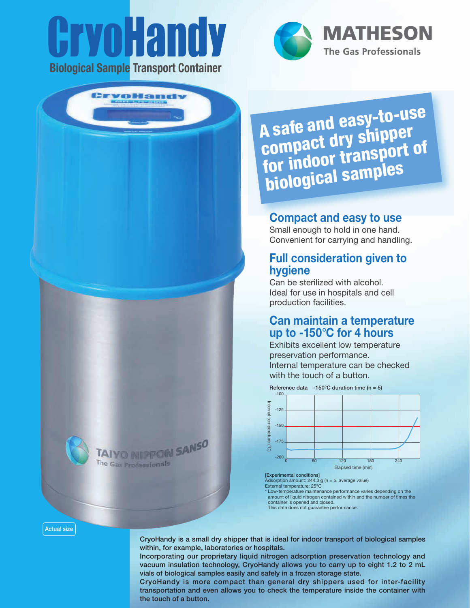# **YOHANDY** Biological Sample Transport Container

**Bryollonn** 

TAIYO NIIPPON SANSO

The Gas Professionals



**MATHESON The Gas Professionals** 

A safe and easy-to-use A sale and ry shipper<br>compact dry shipper compact ur y surficit of<br>for indoor transport of for muool<br>biological samples

# Compact and easy to use

Small enough to hold in one hand. Convenient for carrying and handling.

## Full consideration given to hygiene

Can be sterilized with alcohol. Ideal for use in hospitals and cell production facilities.

## Can maintain a temperature up to -150°C for 4 hours

Exhibits excellent low temperature preservation performance. Internal temperature can be checked with the touch of a button.



[Experimental conditions] Adsorption amount: 244.3 g (n = 5, average value) External temperature: 25°C

\* Low-temperature maintenance performance varies depending on the amount of liquid nitrogen contained within and the number of times the container is opened and closed. This data does not guarantee performance.

#### Actual size

CryoHandy is a small dry shipper that is ideal for indoor transport of biological samples within, for example, laboratories or hospitals.

Incorporating our proprietary liquid nitrogen adsorption preservation technology and vacuum insulation technology, CryoHandy allows you to carry up to eight 1.2 to 2 mL vials of biological samples easily and safely in a frozen storage state.

CryoHandy is more compact than general dry shippers used for inter-facility transportation and even allows you to check the temperature inside the container with the touch of a button.